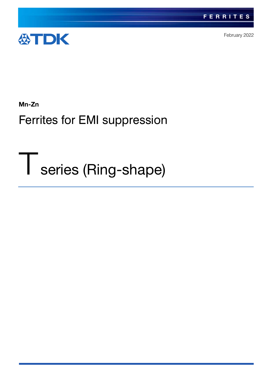

February 2022

Mn-Zn

Ferrites for EMI suppression

Tseries (Ring-shape)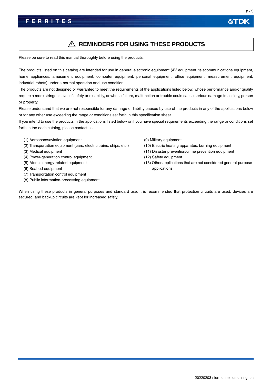## A REMINDERS FOR USING THESE PRODUCTS

Please be sure to read this manual thoroughly before using the products.

The products listed on this catalog are intended for use in general electronic equipment (AV equipment, telecommunications equipment, home appliances, amusement equipment, computer equipment, personal equipment, office equipment, measurement equipment, industrial robots) under a normal operation and use condition.

The products are not designed or warranted to meet the requirements of the applications listed below, whose performance and/or quality require a more stringent level of safety or reliability, or whose failure, malfunction or trouble could cause serious damage to society, person or property.

Please understand that we are not responsible for any damage or liability caused by use of the products in any of the applications below or for any other use exceeding the range or conditions set forth in this specification sheet.

If you intend to use the products in the applications listed below or if you have special requirements exceeding the range or conditions set forth in the each catalog, please contact us.

- (1) Aerospace/aviation equipment
- (2) Transportation equipment (cars, electric trains, ships, etc.)
- (3) Medical equipment
- (4) Power-generation control equipment
- (5) Atomic energy-related equipment
- (6) Seabed equipment
- (7) Transportation control equipment
- (8) Public information-processing equipment
- (9) Military equipment
- (10) Electric heating apparatus, burning equipment
- (11) Disaster prevention/crime prevention equipment
- (12) Safety equipment
- (13) Other applications that are not considered general-purpose applications

When using these products in general purposes and standard use, it is recommended that protection circuits are used, devices are secured, and backup circuits are kept for increased safety.

公TDK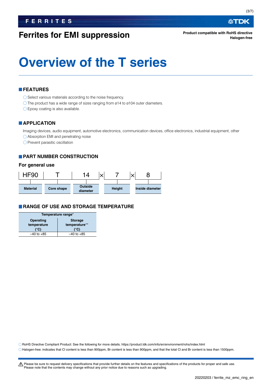# **Ferrites for EMI suppression**

# **Overview of the T series**

### **FEATURES**

O Select various materials according to the noise frequency.

O The product has a wide range of sizes ranging from ø14 to ø104 outer diameters.

Epoxy coating is also available.

### **APPLICATION**

Imaging devices, audio equipment, automotive electronics, communication devices, office electronics, industrial equipment, other

Absorption EMI and penetrating noise

 $\bigcirc$  Prevent parasitic oscillation

### **PART NUMBER CONSTRUCTION**

### **For general use**



### **RANGE OF USE AND STORAGE TEMPERATURE**

| Temperature range* |                |  |  |
|--------------------|----------------|--|--|
| Operating          | <b>Storage</b> |  |  |
| temperature        | temperature**  |  |  |
| (°C)               | (°C)           |  |  |
| $-40$ to $+85$     | –40 to +85     |  |  |
|                    |                |  |  |

RoHS Directive Compliant Product: See the following for more details. https://product.tdk.com/info/en/environment/rohs/index.html

Halogen-free: indicates that Cl content is less than 900ppm, Br content is less than 900ppm, and that the total Cl and Br content is less than 1500ppm.

A Please be sure to request delivery specifications that provide further details on the features and specifications of the products for proper and safe use. Please note that the contents may change without any prior notice due to reasons such as upgrading.

∰TDK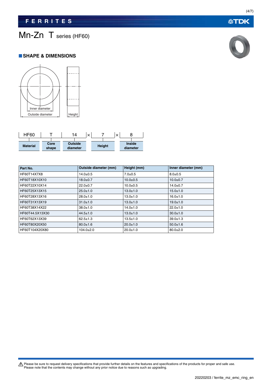# Mn-Zn T series (HF60)

### **SHAPE & DIMENSIONS**





| Part No.        | Outside diameter (mm) | Height (mm)    | Inner diameter (mm) |
|-----------------|-----------------------|----------------|---------------------|
| HF60T14X7X8     | $14.0 \pm 0.5$        | $7.0 + 0.5$    | $8.0 + 0.5$         |
| HF60T18X10X10   | $18.0 + 0.7$          | $10.0 + 0.5$   | $10.0 + 0.7$        |
| HF60T22X10X14   | $22.0 + 0.7$          | $10.0 + 0.5$   | $14.0 + 0.7$        |
| HF60T25X13X15   | $25.0 \pm 1.0$        | $13.0 + 1.0$   | $15.0 + 1.0$        |
| HF60T28X13X16   | $28.0 \pm 1.0$        | $13.0 + 1.0$   | $16.0 + 1.0$        |
| HF60T31X13X19   | $31.0 \pm 1.0$        | $13.0 + 1.0$   | $19.0 + 1.0$        |
| HF60T38X14X22   | $38.0 \pm 1.0$        | $14.0 \pm 1.0$ | $22.0 \pm 1.0$      |
| HF60T44.5X13X30 | $44.5 \pm 1.0$        | $13.0 + 1.0$   | $30.0 + 1.0$        |
| HF60T62X13X39   | $62.5 \pm 1.3$        | $13.5 \pm 1.0$ | $39.0 \pm 1.3$      |
| HF60T80X20X50   | $80.0 \pm 1.6$        | $20.0 \pm 1.0$ | $50.0 \pm 1.6$      |
| HF60T104X20X80  | $104.0 \pm 2.0$       | $20.0 + 1.0$   | $80.0 + 2.0$        |

Please be sure to request delivery specifications that provide further details on the features and specifications of the products for proper and safe use.<br>Please note that the contents may change without any prior notice d



**公TDK**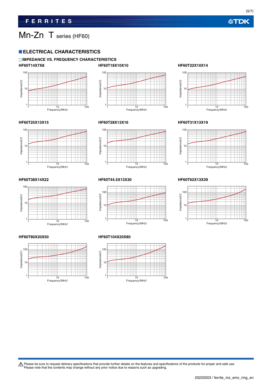(5/7)

# Mn-Zn T series (HF60)

### **ELECTRICAL CHARACTERISTICS**

### **IMPEDANCE VS. FREQUENCY CHARACTERISTICS HF60T14X7X8 HF60T18X10X10 HF60T22X10X14**











#### **HF60T25X13X15 HF60T28X13X16 HF60T31X13X19**







### **HF60T38X14X22 HF60T44.5X13X30 HF60T62X13X39**



#### **HF60T80X20X50 HF60T104X20X80**





Please be sure to request delivery specifications that provide further details on the features and specifications of the products for proper and safe use.<br>Please note that the contents may change without any prior notice d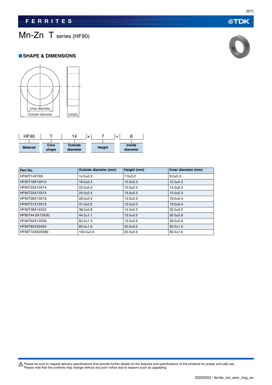# Mn-Zn T series (HF90)

### **SHAPE & DIMENSIONS**





| Part No.        | Outside diameter (mm) | Height (mm)    | Inner diameter (mm) |
|-----------------|-----------------------|----------------|---------------------|
| HF90T14X7X8     | $14.0 \pm 0.3$        | $7.0 + 0.2$    | $8.0 \pm 0.3$       |
| HF90T18X10X10   | $18.0 \pm 0.4$        | $10.0 + 0.3$   | $10.0 + 0.3$        |
| HF90T22X10X14   | $22.0+0.4$            | $10.0 + 0.3$   | $14.0 + 0.3$        |
| HF90T25X13X15   | $25.0 \pm 0.4$        | $13.0 \pm 0.3$ | $15.0 \pm 0.3$      |
| HF90T28X13X16   | $28.0 \pm 0.4$        | $13.0 \pm 0.3$ | $16.0 + 0.4$        |
| HF90T31X13X19   | $31.0 \pm 0.5$        | $13.0 \pm 0.3$ | $19.0 + 0.4$        |
| HF90T38X14X22   | $38.0 \pm 0.8$        | $14.0 \pm 0.3$ | $22.0+0.5$          |
| HF90T44.5X13X30 | $44.5 \pm 1.1$        | $13.0 \pm 0.5$ | $30.0 + 0.8$        |
| HF90T62X13X39   | $62.5 \pm 1.3$        | $13.5 \pm 0.5$ | $39.0 + 0.8$        |
| HF90T80X20X50   | $80.0 \pm 1.6$        | $20.0 + 0.5$   | $50.0 \pm 1.0$      |
| HF90T104X20X80  | $104.0 \pm 2.0$       | $20.0+0.5$     | $80.0 \pm 1.6$      |

Please be sure to request delivery specifications that provide further details on the features and specifications of the products for proper and safe use.<br>Please note that the contents may change without any prior notice d

**公TDK**